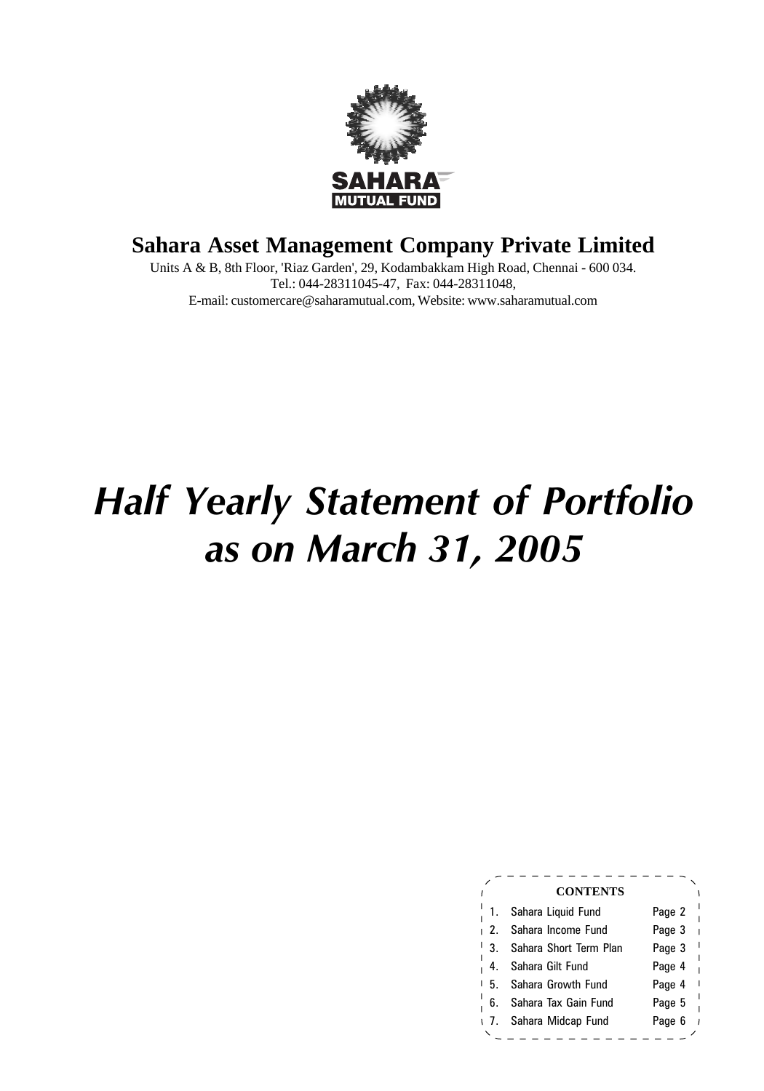

## **Sahara Asset Management Company Private Limited**

Units A & B, 8th Floor, 'Riaz Garden', 29, Kodambakkam High Road, Chennai - 600 034. Tel.: 044-28311045-47, Fax: 044-28311048, E-mail: customercare@saharamutual.com, Website: www.saharamutual.com

# *Half Yearly Statement of Portfolio as on March 31, 2005*

|     | <b>CONTENTS</b>         |                        |
|-----|-------------------------|------------------------|
|     | Sahara Liquid Fund      | Page 2                 |
| 12. | Sahara Income Fund      | Page 3<br>Ï            |
| 3.  | Sahara Short Term Plan  | I<br>Page 3            |
| 4.  | Sahara Gilt Fund        | ı<br>Page 4            |
| 5.  | Sahara Growth Fund      | $\mathbf{I}$<br>Page 4 |
| 6.  | Sahara Tax Gain Fund    | Page 5                 |
|     | 1 7. Sahara Midcap Fund | Page 6                 |
|     |                         |                        |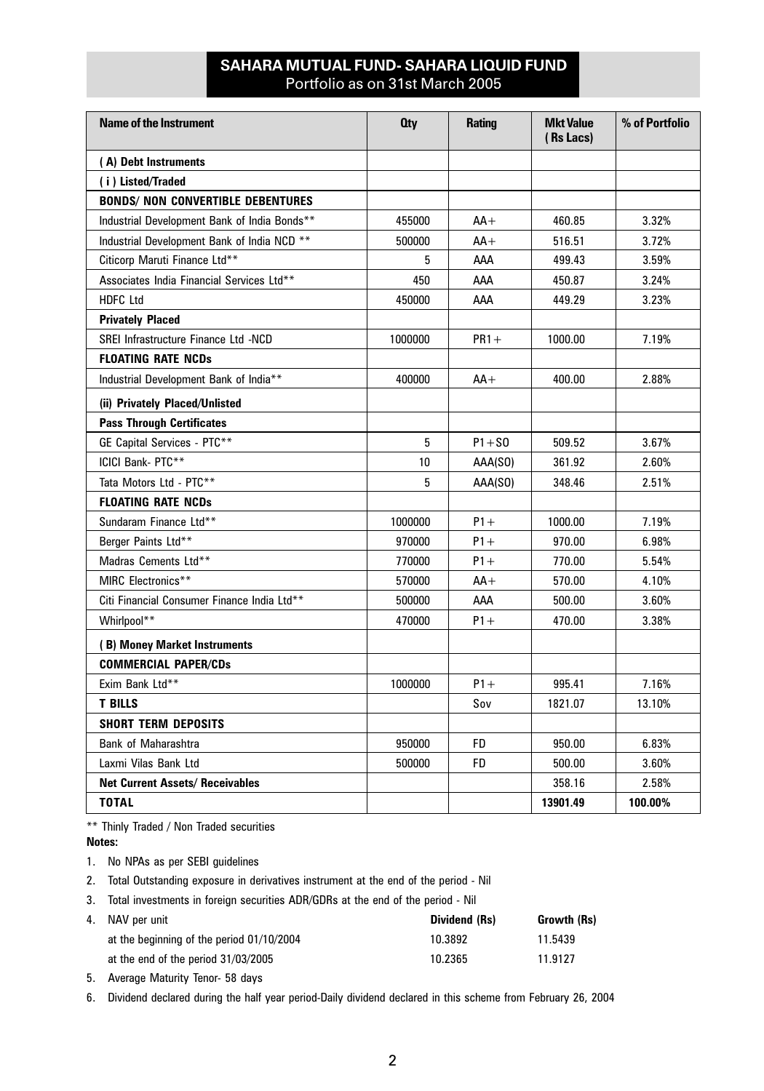## **SAHARA MUTUAL FUND- SAHARA LIQUID FUND** Portfolio as on 31st March 2005

| <b>Name of the Instrument</b>                | 0ty     | <b>Rating</b> | <b>Mkt Value</b><br>(Rs Lacs) | % of Portfolio |
|----------------------------------------------|---------|---------------|-------------------------------|----------------|
| (A) Debt Instruments                         |         |               |                               |                |
| (i) Listed/Traded                            |         |               |                               |                |
| <b>BONDS/ NON CONVERTIBLE DEBENTURES</b>     |         |               |                               |                |
| Industrial Development Bank of India Bonds** | 455000  | $AA+$         | 460.85                        | 3.32%          |
| Industrial Development Bank of India NCD **  | 500000  | $AA+$         | 516.51                        | 3.72%          |
| Citicorp Maruti Finance Ltd**                | 5       | AAA           | 499.43                        | 3.59%          |
| Associates India Financial Services Ltd**    | 450     | AAA           | 450.87                        | 3.24%          |
| <b>HDFC Ltd</b>                              | 450000  | AAA           | 449.29                        | 3.23%          |
| <b>Privately Placed</b>                      |         |               |                               |                |
| SREI Infrastructure Finance Ltd -NCD         | 1000000 | $PR1 +$       | 1000.00                       | 7.19%          |
| <b>FLOATING RATE NCDs</b>                    |         |               |                               |                |
| Industrial Development Bank of India**       | 400000  | $AA+$         | 400.00                        | 2.88%          |
| (ii) Privately Placed/Unlisted               |         |               |                               |                |
| <b>Pass Through Certificates</b>             |         |               |                               |                |
| GE Capital Services - PTC**                  | 5       | $P1 + SO$     | 509.52                        | 3.67%          |
| ICICI Bank- PTC**                            | 10      | AAA(SO)       | 361.92                        | 2.60%          |
| Tata Motors Ltd - PTC**                      | 5       | AAA(SO)       | 348.46                        | 2.51%          |
| <b>FLOATING RATE NCDs</b>                    |         |               |                               |                |
| Sundaram Finance Ltd**                       | 1000000 | $P1+$         | 1000.00                       | 7.19%          |
| Berger Paints Ltd**                          | 970000  | $P1+$         | 970.00                        | 6.98%          |
| Madras Cements Ltd**                         | 770000  | $P1+$         | 770.00                        | 5.54%          |
| MIRC Electronics**                           | 570000  | $AA+$         | 570.00                        | 4.10%          |
| Citi Financial Consumer Finance India Ltd**  | 500000  | AAA           | 500.00                        | 3.60%          |
| Whirlpool**                                  | 470000  | $P1+$         | 470.00                        | 3.38%          |
| (B) Money Market Instruments                 |         |               |                               |                |
| <b>COMMERCIAL PAPER/CDs</b>                  |         |               |                               |                |
| Exim Bank Ltd**                              | 1000000 | $P1 +$        | 995.41                        | 7.16%          |
| <b>T BILLS</b>                               |         | Sov           | 1821.07                       | 13.10%         |
| <b>SHORT TERM DEPOSITS</b>                   |         |               |                               |                |
| <b>Bank of Maharashtra</b>                   | 950000  | FD.           | 950.00                        | 6.83%          |
| Laxmi Vilas Bank Ltd                         | 500000  | FD            | 500.00                        | 3.60%          |
| <b>Net Current Assets/ Receivables</b>       |         |               | 358.16                        | 2.58%          |
| <b>TOTAL</b>                                 |         |               | 13901.49                      | 100.00%        |

\*\* Thinly Traded / Non Traded securities

**Notes:**

1. No NPAs as per SEBI guidelines

2. Total Outstanding exposure in derivatives instrument at the end of the period - Nil

3. Total investments in foreign securities ADR/GDRs at the end of the period - Nil

| 4. NAV per unit                           | Dividend (Rs) | Growth (Rs) |
|-------------------------------------------|---------------|-------------|
| at the beginning of the period 01/10/2004 | 10.3892       | 11.5439     |
| at the end of the period 31/03/2005       | 10.2365       | 11.9127     |

5. Average Maturity Tenor- 58 days

6. Dividend declared during the half year period-Daily dividend declared in this scheme from February 26, 2004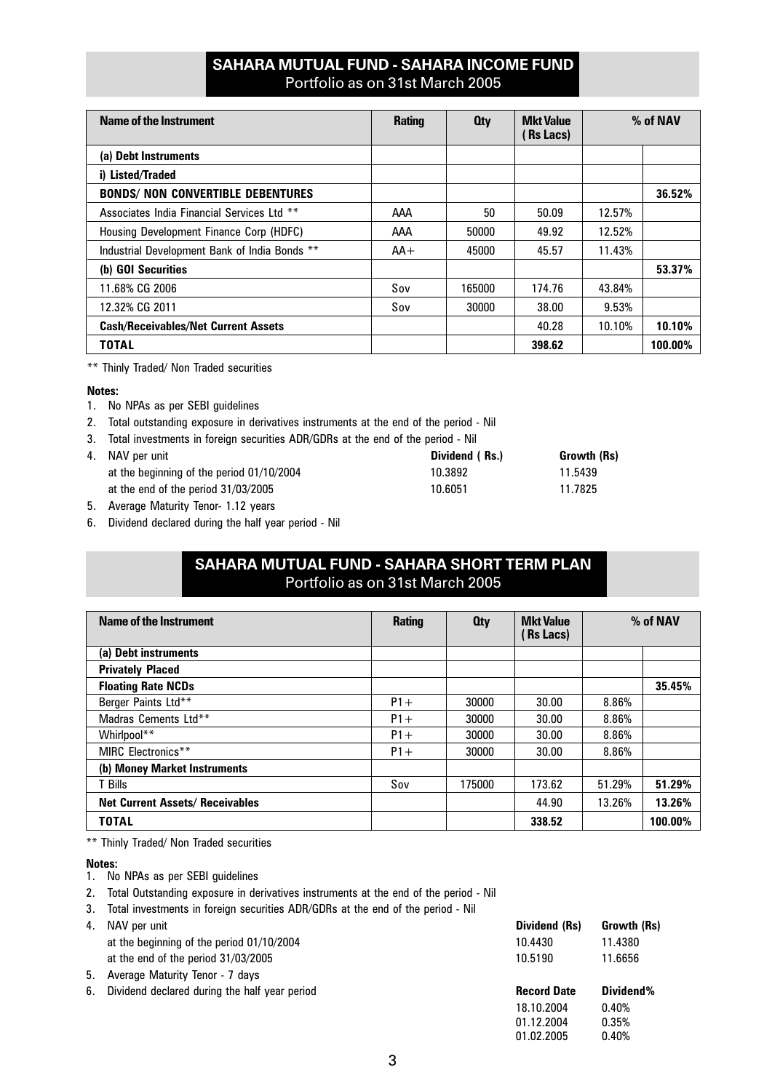## **SAHARA MUTUAL FUND - SAHARA INCOME FUND** Portfolio as on 31st March 2005

| Name of the Instrument                        | <b>Rating</b> | 0 <sub>tv</sub> | <b>Mkt Value</b><br>(Rs Lacs) |        | % of NAV |
|-----------------------------------------------|---------------|-----------------|-------------------------------|--------|----------|
| (a) Debt Instruments                          |               |                 |                               |        |          |
| i) Listed/Traded                              |               |                 |                               |        |          |
| <b>BONDS/ NON CONVERTIBLE DEBENTURES</b>      |               |                 |                               |        | 36.52%   |
| Associates India Financial Services Ltd **    | AAA           | 50              | 50.09                         | 12.57% |          |
| Housing Development Finance Corp (HDFC)       | AAA           | 50000           | 49.92                         | 12.52% |          |
| Industrial Development Bank of India Bonds ** | $AA+$         | 45000           | 45.57                         | 11.43% |          |
| (b) GOI Securities                            |               |                 |                               |        | 53.37%   |
| 11.68% CG 2006                                | Sov           | 165000          | 174.76                        | 43.84% |          |
| 12.32% CG 2011                                | Sov           | 30000           | 38.00                         | 9.53%  |          |
| <b>Cash/Receivables/Net Current Assets</b>    |               |                 | 40.28                         | 10.10% | 10.10%   |
| <b>TOTAL</b>                                  |               |                 | 398.62                        |        | 100.00%  |

\*\* Thinly Traded/ Non Traded securities

#### **Notes:**

- 1. No NPAs as per SEBI guidelines
- 2. Total outstanding exposure in derivatives instruments at the end of the period Nil
- 3. Total investments in foreign securities ADR/GDRs at the end of the period Nil

| 4. NAV per unit                           | Dividend (Rs.) | Growth (Rs) |
|-------------------------------------------|----------------|-------------|
| at the beginning of the period 01/10/2004 | 10.3892        | 11.5439     |
| at the end of the period 31/03/2005       | 10.6051        | 11.7825     |
|                                           |                |             |

- 5. Average Maturity Tenor- 1.12 years
- 6. Dividend declared during the half year period Nil

## **SAHARA MUTUAL FUND - SAHARA SHORT TERM PLAN** Portfolio as on 31st March 2005

| Name of the Instrument                 | <b>Rating</b> | <b>Oty</b> | <b>Mkt Value</b><br><b>Rs Lacs</b> ) | % of NAV |         |
|----------------------------------------|---------------|------------|--------------------------------------|----------|---------|
| (a) Debt instruments                   |               |            |                                      |          |         |
| <b>Privately Placed</b>                |               |            |                                      |          |         |
| <b>Floating Rate NCDs</b>              |               |            |                                      |          | 35.45%  |
| Berger Paints Ltd**                    | $P1+$         | 30000      | 30.00                                | 8.86%    |         |
| Madras Cements Ltd**                   | $P1+$         | 30000      | 30.00                                | 8.86%    |         |
| Whirlpool**                            | $P1+$         | 30000      | 30.00                                | 8.86%    |         |
| MIRC Electronics**                     | $P1+$         | 30000      | 30.00                                | 8.86%    |         |
| (b) Money Market Instruments           |               |            |                                      |          |         |
| T Bills                                | Sov           | 175000     | 173.62                               | 51.29%   | 51.29%  |
| <b>Net Current Assets/ Receivables</b> |               |            | 44.90                                | 13.26%   | 13.26%  |
| TOTAL                                  |               |            | 338.52                               |          | 100.00% |

\*\* Thinly Traded/ Non Traded securities

#### **Notes:**

- 1. No NPAs as per SEBI guidelines
- 2. Total Outstanding exposure in derivatives instruments at the end of the period Nil
- 3. Total investments in foreign securities ADR/GDRs at the end of the period Nil

| 4. NAV per unit                                  | Dividend (Rs)      | Growth (Rs) |
|--------------------------------------------------|--------------------|-------------|
| at the beginning of the period 01/10/2004        | 10.4430            | 11.4380     |
| at the end of the period 31/03/2005              | 10.5190            | 11.6656     |
| 5. Average Maturity Tenor - 7 days               |                    |             |
| 6. Dividend declared during the half year period | <b>Record Date</b> | Dividend%   |

18.10.2004 0.40% 01.12.2004 0.35% 01.02.2005 0.40%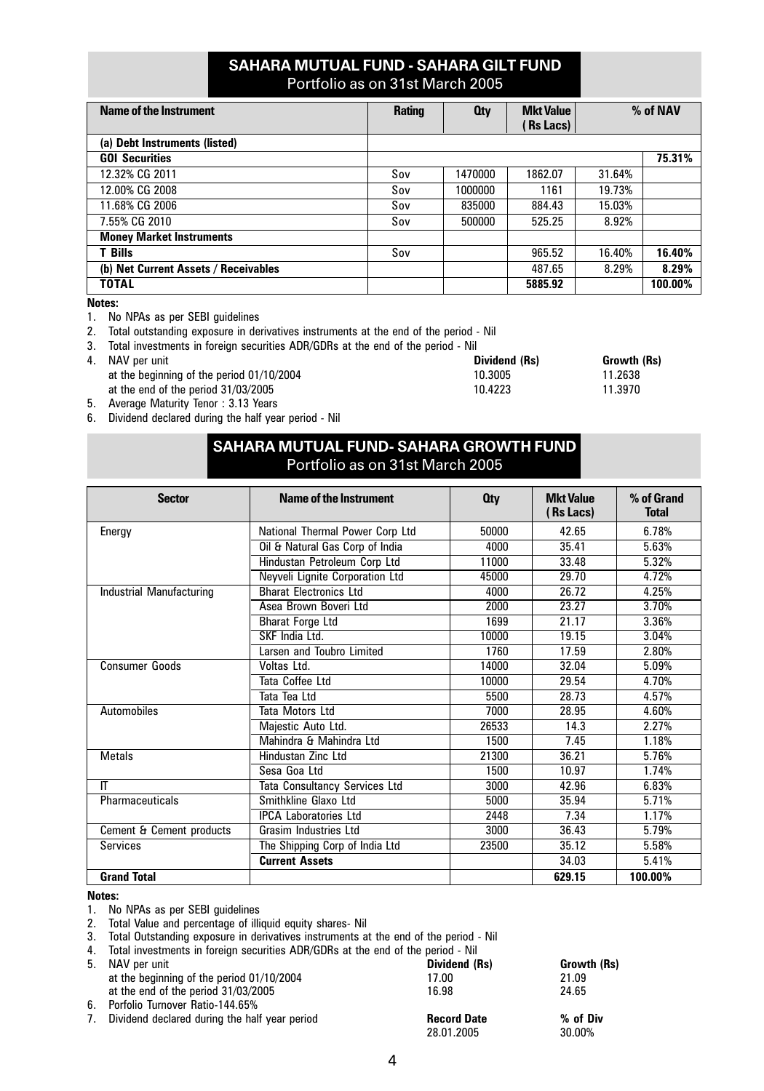## **SAHARA MUTUAL FUND - SAHARA GILT FUND** Portfolio as on 31st March 2005

| Name of the Instrument               | <b>Rating</b> | 0 <sub>ty</sub> | <b>Mkt Value</b><br><b>Rs Lacs</b> ) |        | % of NAV |
|--------------------------------------|---------------|-----------------|--------------------------------------|--------|----------|
| (a) Debt Instruments (listed)        |               |                 |                                      |        |          |
| <b>GOI Securities</b>                |               |                 |                                      |        | 75.31%   |
| 12.32% CG 2011                       | Sov           | 1470000         | 1862.07                              | 31.64% |          |
| 12.00% CG 2008                       | Sov           | 1000000         | 1161                                 | 19.73% |          |
| 11.68% CG 2006                       | Sov           | 835000          | 884.43                               | 15.03% |          |
| 7.55% CG 2010                        | Sov           | 500000          | 525.25                               | 8.92%  |          |
| <b>Money Market Instruments</b>      |               |                 |                                      |        |          |
| <b>T</b> Bills                       | Sov           |                 | 965.52                               | 16.40% | 16.40%   |
| (b) Net Current Assets / Receivables |               |                 | 487.65                               | 8.29%  | 8.29%    |
| <b>TOTAL</b>                         |               |                 | 5885.92                              |        | 100.00%  |

**Notes:**

- 1. No NPAs as per SEBI guidelines
- 2. Total outstanding exposure in derivatives instruments at the end of the period Nil
- 3. Total investments in foreign securities ADR/GDRs at the end of the period Nil
- 
- 4. NAV per unit **Constanting of the period 01/10/2004 Dividend (Rs) Dividend (Rs) Growth (Rs)** at the beginning of the period 01/10/2004 **Dividend 10.3005 CONSTAND 11.2638** at the beginning of the period 01/10/2004 10.3005 11.2638<br>at the end of the period 31/03/2005 10.4223 11.3970 at the end of the period 31/03/2005
- 5. Average Maturity Tenor : 3.13 Years
- 6. Dividend declared during the half year period Nil

| SAHARA MUTUAL FUND- SAHARA GROWTH FUND |  |
|----------------------------------------|--|
| Portfolio as on 31st March 2005        |  |

| <b>Sector</b>            | Name of the Instrument          | <b>Oty</b> | <b>Mkt Value</b><br>(Rs Lacs) | % of Grand<br><b>Total</b> |
|--------------------------|---------------------------------|------------|-------------------------------|----------------------------|
| Energy                   | National Thermal Power Corp Ltd | 50000      | 42.65                         | 6.78%                      |
|                          | Oil & Natural Gas Corp of India | 4000       | 35.41                         | 5.63%                      |
|                          | Hindustan Petroleum Corp Ltd    | 11000      | 33.48                         | 5.32%                      |
|                          | Neyveli Lignite Corporation Ltd | 45000      | 29.70                         | 4.72%                      |
| Industrial Manufacturing | <b>Bharat Flectronics Ltd</b>   | 4000       | 26.72                         | 4.25%                      |
|                          | Asea Brown Boveri Ltd           | 2000       | 23.27                         | 3.70%                      |
|                          | <b>Bharat Forge Ltd</b>         | 1699       | 21.17                         | 3.36%                      |
|                          | SKF India Ltd.                  | 10000      | 19.15                         | 3.04%                      |
|                          | Larsen and Toubro Limited       | 1760       | 17.59                         | 2.80%                      |
| Consumer Goods           | Voltas Ltd.                     | 14000      | 32.04                         | 5.09%                      |
|                          | Tata Coffee Ltd                 | 10000      | 29.54                         | 4.70%                      |
|                          | Tata Tea Ltd                    | 5500       | 28.73                         | 4.57%                      |
| Automobiles              | Tata Motors Ltd                 | 7000       | 28.95                         | 4.60%                      |
|                          | Majestic Auto Ltd.              | 26533      | 14.3                          | 2.27%                      |
|                          | Mahindra & Mahindra I td        | 1500       | 7.45                          | 1.18%                      |
| <b>Metals</b>            | Hindustan Zinc Ltd              | 21300      | 36.21                         | 5.76%                      |
|                          | Sesa Goa Ltd                    | 1500       | 10.97                         | 1.74%                      |
| IT                       | Tata Consultancy Services Ltd   | 3000       | 42.96                         | 6.83%                      |
| Pharmaceuticals          | Smithkline Glaxo Ltd            | 5000       | 35.94                         | 5.71%                      |
|                          | <b>IPCA Laboratories Ltd</b>    | 2448       | 7.34                          | 1.17%                      |
| Cement & Cement products | <b>Grasim Industries Ltd</b>    | 3000       | 36.43                         | 5.79%                      |
| Services                 | The Shipping Corp of India Ltd  | 23500      | 35.12                         | 5.58%                      |
|                          | <b>Current Assets</b>           |            | 34.03                         | 5.41%                      |
| <b>Grand Total</b>       |                                 |            | 629.15                        | 100.00%                    |

#### **Notes:**

1. No NPAs as per SEBI guidelines

2. Total Value and percentage of illiquid equity shares- Nil

3. Total Outstanding exposure in derivatives instruments at the end of the period - Nil

4. Total investments in foreign securities ADR/GDRs at the end of the period - Nil

| 5. NAV per unit                                  | Dividend (Rs)      | Growth (Rs) |
|--------------------------------------------------|--------------------|-------------|
| at the beginning of the period 01/10/2004        | 17.00              | 21.09       |
| at the end of the period 31/03/2005              | 16.98              | 24.65       |
| 6. Porfolio Turnover Ratio-144.65%               |                    |             |
| 7. Dividend declared during the half year period | <b>Record Date</b> | % of Div    |
|                                                  | 28.01.2005         | 30.00%      |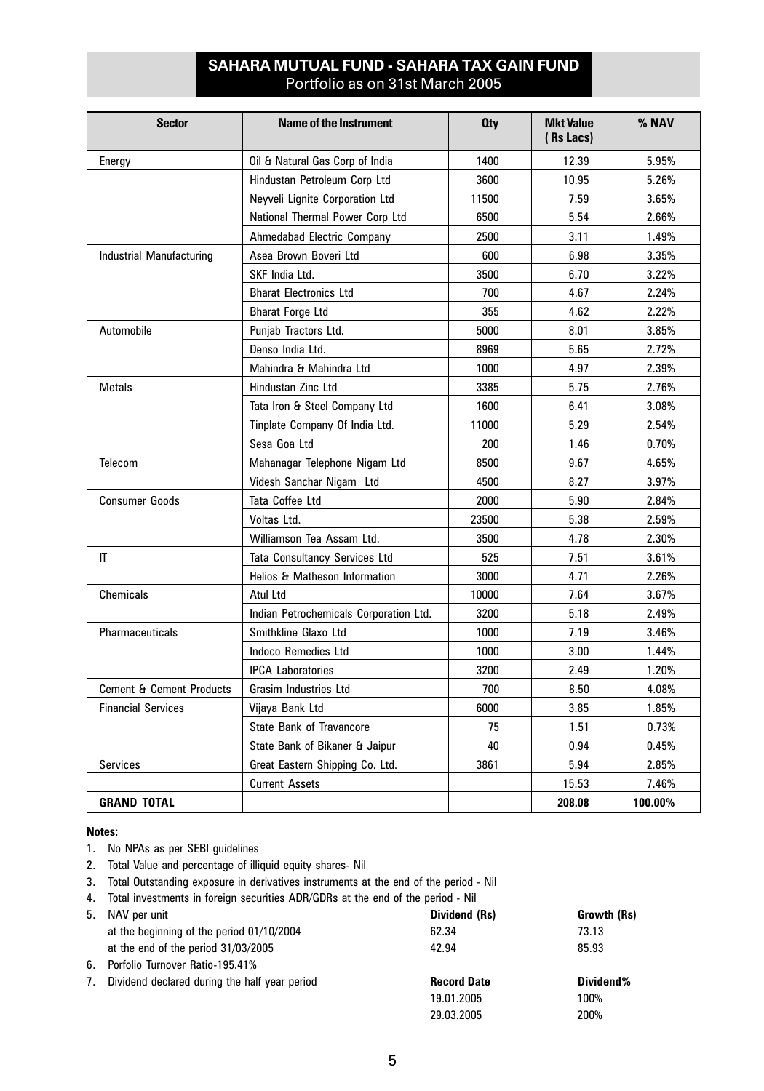## **SAHARA MUTUAL FUND - SAHARA TAX GAIN FUND** Portfolio as on 31st March 2005

| <b>Sector</b>                       | <b>Name of the Instrument</b>          | 0ty   | <b>Mkt Value</b><br>(Rs Lacs) | % NAV   |
|-------------------------------------|----------------------------------------|-------|-------------------------------|---------|
| Energy                              | Oil & Natural Gas Corp of India        | 1400  | 12.39                         | 5.95%   |
|                                     | Hindustan Petroleum Corp Ltd           | 3600  | 10.95                         | 5.26%   |
|                                     | Neyveli Lignite Corporation Ltd        | 11500 | 7.59                          | 3.65%   |
|                                     | National Thermal Power Corp Ltd        | 6500  | 5.54                          | 2.66%   |
|                                     | Ahmedabad Electric Company             | 2500  | 3.11                          | 1.49%   |
| Industrial Manufacturing            | Asea Brown Boveri Ltd                  | 600   | 6.98                          | 3.35%   |
|                                     | SKF India Ltd.                         | 3500  | 6.70                          | 3.22%   |
|                                     | <b>Bharat Electronics Ltd</b>          | 700   | 4.67                          | 2.24%   |
|                                     | <b>Bharat Forge Ltd</b>                | 355   | 4.62                          | 2.22%   |
| Automobile                          | Punjab Tractors Ltd.                   | 5000  | 8.01                          | 3.85%   |
|                                     | Denso India Ltd.                       | 8969  | 5.65                          | 2.72%   |
|                                     | Mahindra & Mahindra Ltd                | 1000  | 4.97                          | 2.39%   |
| <b>Metals</b>                       | Hindustan Zinc Ltd                     | 3385  | 5.75                          | 2.76%   |
|                                     | Tata Iron & Steel Company Ltd          | 1600  | 6.41                          | 3.08%   |
|                                     | Tinplate Company Of India Ltd.         | 11000 | 5.29                          | 2.54%   |
|                                     | Sesa Goa Ltd                           | 200   | 1.46                          | 0.70%   |
| Telecom                             | Mahanagar Telephone Nigam Ltd          | 8500  | 9.67                          | 4.65%   |
|                                     | Videsh Sanchar Nigam Ltd               | 4500  | 8.27                          | 3.97%   |
| <b>Consumer Goods</b>               | Tata Coffee Ltd                        | 2000  | 5.90                          | 2.84%   |
|                                     | Voltas Ltd.                            | 23500 | 5.38                          | 2.59%   |
|                                     | Williamson Tea Assam Ltd.              | 3500  | 4.78                          | 2.30%   |
| IT                                  | Tata Consultancy Services Ltd          | 525   | 7.51                          | 3.61%   |
|                                     | Helios & Matheson Information          | 3000  | 4.71                          | 2.26%   |
| Chemicals                           | Atul Ltd                               | 10000 | 7.64                          | 3.67%   |
|                                     | Indian Petrochemicals Corporation Ltd. | 3200  | 5.18                          | 2.49%   |
| <b>Pharmaceuticals</b>              | Smithkline Glaxo Ltd                   | 1000  | 7.19                          | 3.46%   |
|                                     | <b>Indoco Remedies Ltd</b>             | 1000  | 3.00                          | 1.44%   |
|                                     | <b>IPCA Laboratories</b>               | 3200  | 2.49                          | 1.20%   |
| <b>Cement &amp; Cement Products</b> | <b>Grasim Industries Ltd</b>           | 700   | 8.50                          | 4.08%   |
| <b>Financial Services</b>           | Vijaya Bank Ltd                        | 6000  | 3.85                          | 1.85%   |
|                                     | <b>State Bank of Travancore</b>        | 75    | 1.51                          | 0.73%   |
|                                     | State Bank of Bikaner & Jaipur         | 40    | 0.94                          | 0.45%   |
| <b>Services</b>                     | Great Eastern Shipping Co. Ltd.        | 3861  | 5.94                          | 2.85%   |
|                                     | <b>Current Assets</b>                  |       | 15.53                         | 7.46%   |
| <b>GRAND TOTAL</b>                  |                                        |       | 208.08                        | 100.00% |

#### **Notes:**

- 1. No NPAs as per SEBI guidelines
- 2. Total Value and percentage of illiquid equity shares- Nil
- 3. Total Outstanding exposure in derivatives instruments at the end of the period Nil
- 4. Total investments in foreign securities ADR/GDRs at the end of the period Nil

| 5. | NAV per unit                                  | Dividend (Rs)      | Growth (Rs) |
|----|-----------------------------------------------|--------------------|-------------|
|    | at the beginning of the period 01/10/2004     | 62.34              | 73.13       |
|    | at the end of the period 31/03/2005           | 42.94              | 85.93       |
| 6. | Porfolio Turnover Ratio-195.41%               |                    |             |
| 7. | Dividend declared during the half year period | <b>Record Date</b> | Dividend%   |
|    |                                               | 19.01.2005         | 100%        |
|    |                                               | 29.03.2005         | 200%        |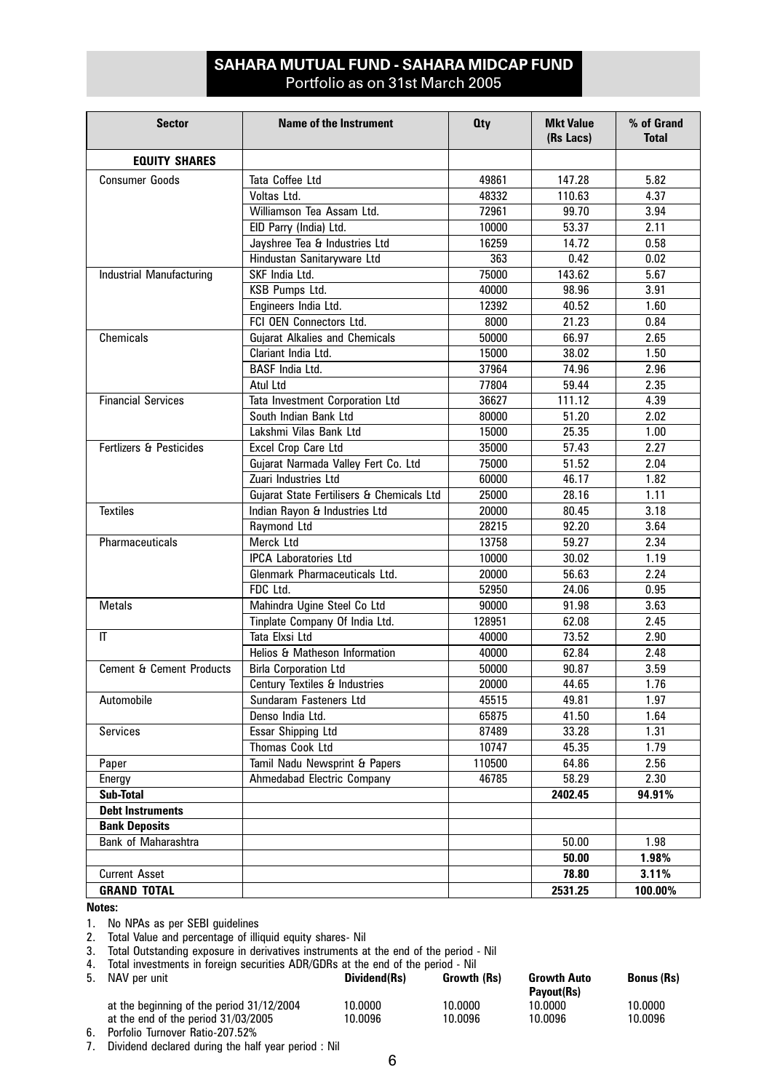## **SAHARA MUTUAL FUND - SAHARA MIDCAP FUND** Portfolio as on 31st March 2005

| <b>Sector</b>                       | <b>Name of the Instrument</b>             | <b>Oty</b> | <b>Mkt Value</b><br>(Rs Lacs) | % of Grand<br><b>Total</b> |
|-------------------------------------|-------------------------------------------|------------|-------------------------------|----------------------------|
| <b>EQUITY SHARES</b>                |                                           |            |                               |                            |
| <b>Consumer Goods</b>               | Tata Coffee Ltd                           | 49861      | 147.28                        | 5.82                       |
|                                     | Voltas Ltd.                               | 48332      | 110.63                        | 4.37                       |
|                                     | Williamson Tea Assam Ltd.                 | 72961      | 99.70                         | 3.94                       |
|                                     | EID Parry (India) Ltd.                    | 10000      | 53.37                         | 2.11                       |
|                                     | Jayshree Tea & Industries Ltd             | 16259      | 14.72                         | 0.58                       |
|                                     | Hindustan Sanitaryware Ltd                | 363        | 0.42                          | 0.02                       |
| Industrial Manufacturing            | SKF India Ltd.                            | 75000      | 143.62                        | 5.67                       |
|                                     | KSB Pumps Ltd.                            | 40000      | 98.96                         | 3.91                       |
|                                     | Engineers India Ltd.                      | 12392      | 40.52                         | 1.60                       |
|                                     | FCI OEN Connectors Ltd.                   | 8000       | 21.23                         | 0.84                       |
| Chemicals                           | <b>Gujarat Alkalies and Chemicals</b>     | 50000      | 66.97                         | 2.65                       |
|                                     | Clariant India Ltd.                       | 15000      | 38.02                         | 1.50                       |
|                                     | <b>BASF</b> India Ltd.                    | 37964      | 74.96                         | 2.96                       |
|                                     | Atul Ltd                                  | 77804      | 59.44                         | 2.35                       |
| <b>Financial Services</b>           | Tata Investment Corporation Ltd           | 36627      | 111.12                        | 4.39                       |
|                                     | South Indian Bank Ltd                     | 80000      | 51.20                         | 2.02                       |
|                                     | Lakshmi Vilas Bank Ltd                    | 15000      | 25.35                         | 1.00                       |
| Fertlizers & Pesticides             | Excel Crop Care Ltd                       | 35000      | 57.43                         | 2.27                       |
|                                     | Gujarat Narmada Valley Fert Co. Ltd       | 75000      | 51.52                         | 2.04                       |
|                                     | Zuari Industries Ltd                      | 60000      | 46.17                         | 1.82                       |
|                                     | Gujarat State Fertilisers & Chemicals Ltd | 25000      | 28.16                         | 1.11                       |
| <b>Textiles</b>                     | Indian Rayon & Industries Ltd             | 20000      | 80.45                         | 3.18                       |
|                                     | Raymond Ltd                               | 28215      | 92.20                         | 3.64                       |
| Pharmaceuticals                     | Merck Ltd                                 | 13758      | 59.27                         | 2.34                       |
|                                     | <b>IPCA Laboratories Ltd</b>              | 10000      | 30.02                         | 1.19                       |
|                                     | Glenmark Pharmaceuticals Ltd.             | 20000      | 56.63                         | 2.24                       |
|                                     | FDC Ltd.                                  | 52950      | 24.06                         | 0.95                       |
| <b>Metals</b>                       | Mahindra Ugine Steel Co Ltd               | 90000      | 91.98                         | 3.63                       |
|                                     | Tinplate Company Of India Ltd.            | 128951     | 62.08                         | 2.45                       |
| IT                                  | Tata Elxsi Ltd                            | 40000      | 73.52                         | 2.90                       |
|                                     | Helios & Matheson Information             | 40000      | 62.84                         | 2.48                       |
| <b>Cement &amp; Cement Products</b> | <b>Birla Corporation Ltd</b>              | 50000      | 90.87                         | 3.59                       |
|                                     | Century Textiles & Industries             | 20000      | 44.65                         | 1.76                       |
| Automobile                          | Sundaram Fasteners Ltd                    | 45515      | 49.81                         | 1.97                       |
|                                     | Denso India Ltd.                          | 65875      | 41.50                         | 1.64                       |
| <b>Services</b>                     | <b>Essar Shipping Ltd</b>                 | 87489      | 33.28                         | 1.31                       |
|                                     | Thomas Cook Ltd                           | 10747      | 45.35                         | 1.79                       |
| Paper                               | Tamil Nadu Newsprint & Papers             | 110500     | 64.86                         | 2.56                       |
| Energy                              | Ahmedabad Electric Company                | 46785      | 58.29                         | 2.30                       |
| Sub-Total                           |                                           |            | 2402.45                       | 94.91%                     |
| <b>Debt Instruments</b>             |                                           |            |                               |                            |
| <b>Bank Deposits</b>                |                                           |            |                               |                            |
| Bank of Maharashtra                 |                                           |            | 50.00                         | 1.98                       |
|                                     |                                           |            | 50.00                         | 1.98%                      |
| <b>Current Asset</b>                |                                           |            | 78.80                         | 3.11%                      |
| <b>GRAND TOTAL</b>                  |                                           |            | 2531.25                       | 100.00%                    |

## **Notes:**

1. No NPAs as per SEBI guidelines

2. Total Value and percentage of illiquid equity shares- Nil

3. Total Outstanding exposure in derivatives instruments at the end of the period - Nil

4. Total investments in foreign securities ADR/GDRs at the end of the period - Nil

| 5. NAV per unit                           | Dividend(Rs) | Growth (Rs) | <b>Growth Auto</b><br>Pavout(Rs) | <b>Bonus (Rs)</b> |
|-------------------------------------------|--------------|-------------|----------------------------------|-------------------|
| at the beginning of the period 31/12/2004 | 10.0000      | 10.0000     | 10.0000                          | 10.0000           |
| at the end of the period 31/03/2005       | 10.0096      | 10.0096     | 10.0096                          | 10.0096           |

6. Porfolio Turnover Ratio-207.52%

7. Dividend declared during the half year period : Nil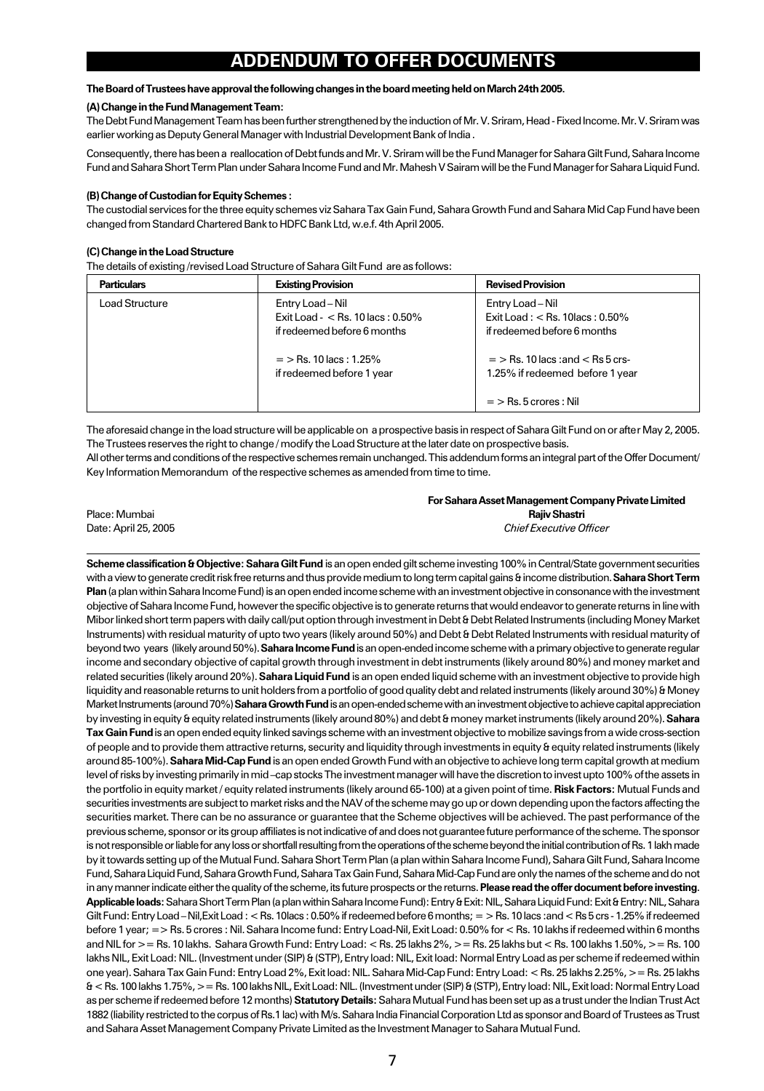## **ADDENDUM TO OFFER DOCUMENTS**

#### **The Board of Trustees have approval the following changes in the board meeting held on March 24th 2005.**

### **(A) Change in the Fund Management Team:**

The Debt Fund Management Team has been further strengthened by the induction of Mr. V. Sriram, Head - Fixed Income. Mr. V. Sriram was earlier working as Deputy General Manager with Industrial Development Bank of India .

Consequently, there has been a reallocation of Debt funds and Mr. V. Sriram will be the Fund Manager for Sahara Gilt Fund, Sahara Income Fund and Sahara Short Term Plan under Sahara Income Fund and Mr. Mahesh V Sairam will be the Fund Manager for Sahara Liquid Fund.

#### **(B) Change of Custodian for Equity Schemes :**

The custodial services for the three equity schemes viz Sahara Tax Gain Fund, Sahara Growth Fund and Sahara Mid Cap Fund have been changed from Standard Chartered Bank to HDFC Bank Ltd, w.e.f. 4th April 2005.

#### **(C) Change in the Load Structure**

The details of existing /revised Load Structure of Sahara Gilt Fund are as follows:

| <b>Particulars</b> | <b>Existing Provision</b>                                                              | <b>Revised Provision</b>                                                                           |
|--------------------|----------------------------------------------------------------------------------------|----------------------------------------------------------------------------------------------------|
| Load Structure     | Entry Load - Nil<br>Exit Load - $<$ Rs. 10 lacs : 0.50%<br>if redeemed before 6 months | Entry Load - Nil<br>Exit Load: $<$ Rs. 10 acs: 0.50%<br>if redeemed before 6 months                |
|                    | $=$ > Rs. 10 lacs : 1.25%<br>if redeemed before 1 year                                 | $=$ > Rs. 10 lacs : and < Rs 5 crs-<br>1.25% if redeemed before 1 year<br>$=$ > Rs. 5 crores : Nil |

The aforesaid change in the load structure will be applicable on a prospective basis in respect of Sahara Gilt Fund on or after May 2, 2005. The Trustees reserves the right to change / modify the Load Structure at the later date on prospective basis. All other terms and conditions of the respective schemes remain unchanged. This addendum forms an integral part of the Offer Document/ Key Information Memorandum of the respective schemes as amended from time to time.

**For Sahara Asset Management Company Private Limited** Place: Mumbai **Rajiv Shastri** Date: April 25, 2005 *Chief Executive Officer*

**Scheme classification & Objective: Sahara Gilt Fund** is an open ended gilt scheme investing 100% in Central/State government securities with a view to generate credit risk free returns and thus provide medium to long term capital gains & income distribution. **Sahara Short Term Plan** (a plan within Sahara Income Fund) is an open ended income scheme with an investment objective in consonance with the investment objective of Sahara Income Fund, however the specific objective is to generate returns that would endeavor to generate returns in line with Mibor linked short term papers with daily call/put option through investment in Debt & Debt Related Instruments (including Money Market Instruments) with residual maturity of upto two years (likely around 50%) and Debt & Debt Related Instruments with residual maturity of beyond two years (likely around 50%). **Sahara Income Fund** is an open-ended income scheme with a primary objective to generate regular income and secondary objective of capital growth through investment in debt instruments (likely around 80%) and money market and related securities (likely around 20%). **Sahara Liquid Fund** is an open ended liquid scheme with an investment objective to provide high liquidity and reasonable returns to unit holders from a portfolio of good quality debt and related instruments (likely around 30%) & Money Market Instruments (around 70%) **Sahara Growth Fund** is an open-ended scheme with an investment objective to achieve capital appreciation by investing in equity & equity related instruments (likely around 80%) and debt & money market instruments (likely around 20%). **Sahara Tax Gain Fund** is an open ended equity linked savings scheme with an investment objective to mobilize savings from a wide cross-section of people and to provide them attractive returns, security and liquidity through investments in equity & equity related instruments (likely around 85-100%). **Sahara Mid-Cap Fund** is an open ended Growth Fund with an objective to achieve long term capital growth at medium level of risks by investing primarily in mid –cap stocks The investment manager will have the discretion to invest upto 100% of the assets in the portfolio in equity market / equity related instruments (likely around 65-100) at a given point of time. **Risk Factors:** Mutual Funds and securities investments are subject to market risks and the NAV of the scheme may go up or down depending upon the factors affecting the securities market. There can be no assurance or guarantee that the Scheme objectives will be achieved. The past performance of the previous scheme, sponsor or its group affiliates is not indicative of and does not guarantee future performance of the scheme. The sponsor is not responsible or liable for any loss or shortfall resulting from the operations of the scheme beyond the initial contribution of Rs. 1 lakh made by it towards setting up of the Mutual Fund. Sahara Short Term Plan (a plan within Sahara Income Fund), Sahara Gilt Fund, Sahara Income Fund, Sahara Liquid Fund, Sahara Growth Fund, Sahara Tax Gain Fund, Sahara Mid-Cap Fund are only the names of the scheme and do not in any manner indicate either the quality of the scheme, its future prospects or the returns. **Please read the offer document before investing**. **Applicable loads:** Sahara Short Term Plan (a plan within Sahara Income Fund): Entry & Exit: NIL, Sahara Liquid Fund: Exit & Entry: NIL, Sahara Gilt Fund: Entry Load – Nil, Exit Load : < Rs. 10lacs : 0.50% if redeemed before 6 months; = > Rs. 10 lacs : and < Rs 5 crs - 1.25% if redeemed before 1 year; => Rs. 5 crores : Nil. Sahara Income fund: Entry Load-Nil, Exit Load: 0.50% for < Rs. 10 lakhs if redeemed within 6 months and NIL for >= Rs. 10 lakhs. Sahara Growth Fund: Entry Load: < Rs. 25 lakhs 2%, >= Rs. 25 lakhs but < Rs. 100 lakhs 1.50%, >= Rs. 100 lakhs NIL, Exit Load: NIL. (Investment under (SIP) & (STP), Entry load: NIL, Exit load: Normal Entry Load as per scheme if redeemed within one year). Sahara Tax Gain Fund: Entry Load 2%, Exit load: NIL. Sahara Mid-Cap Fund: Entry Load: < Rs. 25 lakhs 2.25%, >= Rs. 25 lakhs & < Rs. 100 lakhs 1.75%, >= Rs. 100 lakhs NIL, Exit Load: NIL. (Investment under (SIP) & (STP), Entry load: NIL, Exit load: Normal Entry Load as per scheme if redeemed before 12 months) **Statutory Details:** Sahara Mutual Fund has been set up as a trust under the Indian Trust Act 1882 (liability restricted to the corpus of Rs.1 lac) with M/s. Sahara India Financial Corporation Ltd as sponsor and Board of Trustees as Trust and Sahara Asset Management Company Private Limited as the Investment Manager to Sahara Mutual Fund.